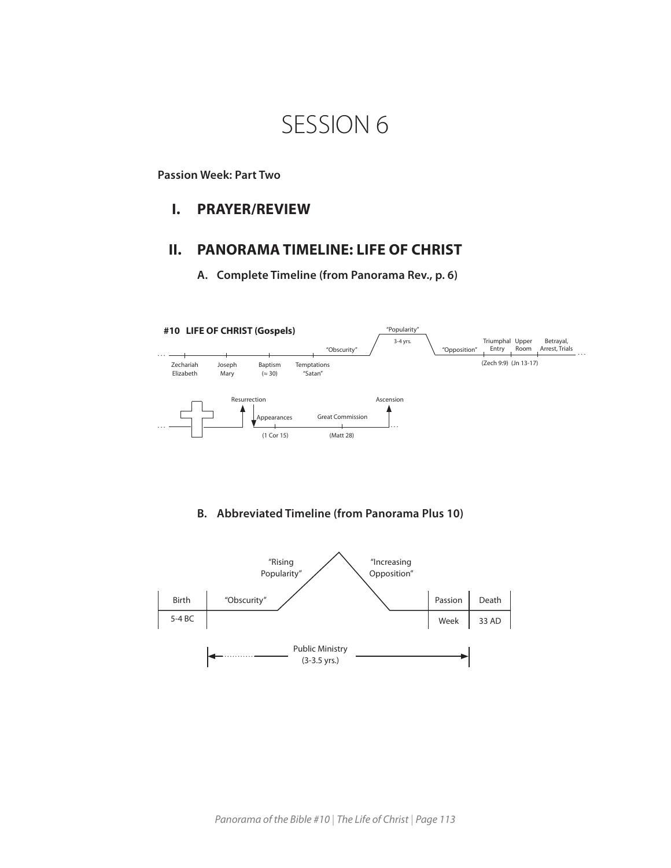# SESSION 6

## **Passion Week: Part Two**

## **I. PRAYER/REVIEW**

## **II. PANORAMA TIMELINE: LIFE OF CHRIST**

**A. Complete Timeline (from Panorama Rev., p. 6)**



## **B. Abbreviated Timeline (from Panorama Plus 10)**

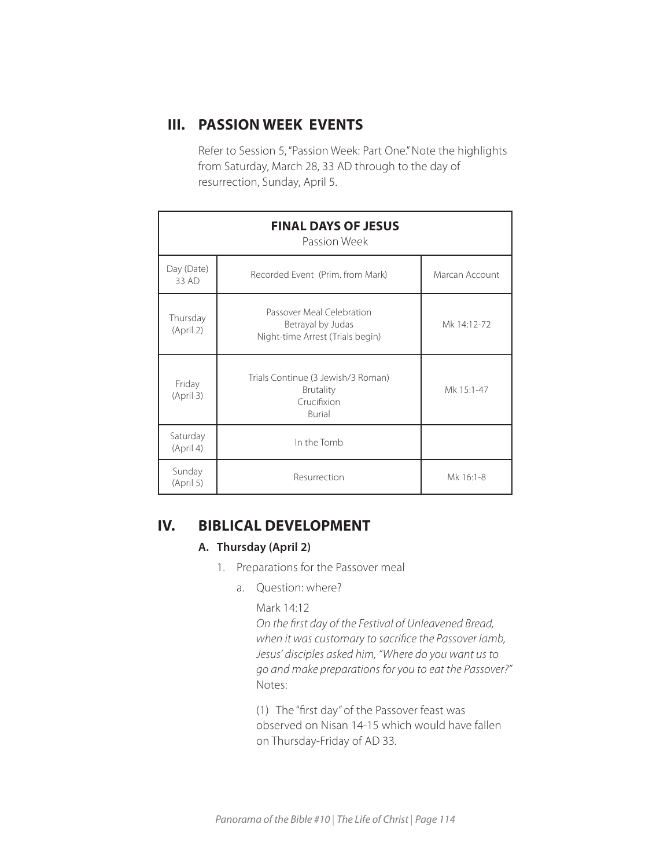# **III. PASSION WEEK EVENTS**

Refer to Session 5, "Passion Week: Part One." Note the highlights from Saturday, March 28, 33 AD through to the day of resurrection, Sunday, April 5.

| <b>FINAL DAYS OF JESUS</b><br>Passion Week |                                                                                        |                |  |  |
|--------------------------------------------|----------------------------------------------------------------------------------------|----------------|--|--|
| Day (Date)<br>33 AD                        | Recorded Event (Prim. from Mark)                                                       | Marcan Account |  |  |
| Thursday<br>(April 2)                      | Passover Meal Celebration<br>Betrayal by Judas<br>Night-time Arrest (Trials begin)     | Mk 14:12-72    |  |  |
| Friday<br>(April 3)                        | Trials Continue (3 Jewish/3 Roman)<br><b>Brutality</b><br>Crucifixion<br><b>Burial</b> | Mk 15:1-47     |  |  |
| Saturday<br>(April 4)                      | In the Tomb                                                                            |                |  |  |
| Sunday<br>(April 5)                        | Resurrection                                                                           | Mk 16:1-8      |  |  |

# **IV. BIBLICAL DEVELOPMENT**

## **A. Thursday (April 2)**

- 1. Preparations for the Passover meal
	- a. Question: where?

## Mark 14:12

*On the first day of the Festival of Unleavened Bread, when it was customary to sacrifice the Passover lamb, Jesus' disciples asked him, "Where do you want us to go and make preparations for you to eat the Passover?"* Notes:

(1) The "first day" of the Passover feast was observed on Nisan 14-15 which would have fallen on Thursday-Friday of AD 33.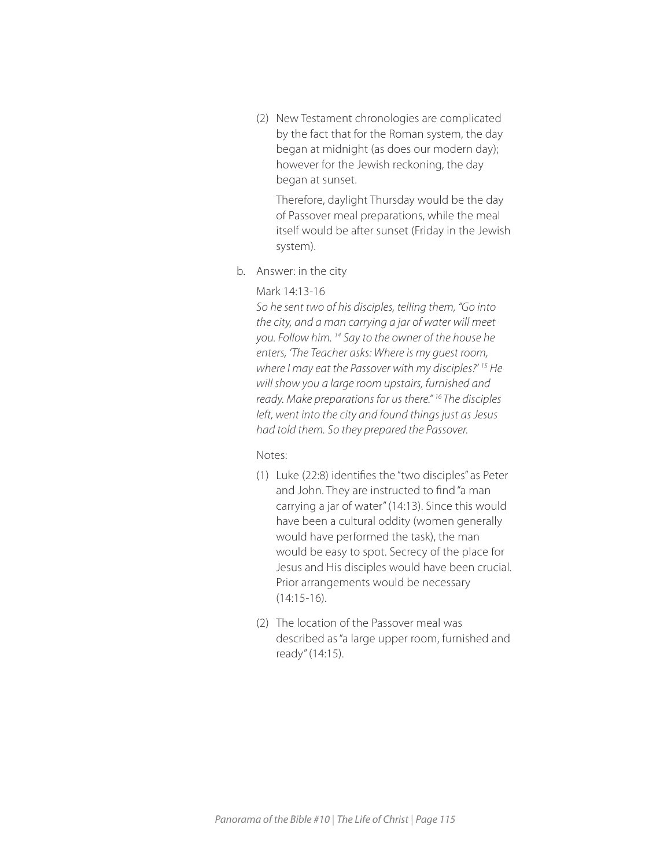(2) New Testament chronologies are complicated by the fact that for the Roman system, the day began at midnight (as does our modern day); however for the Jewish reckoning, the day began at sunset.

Therefore, daylight Thursday would be the day of Passover meal preparations, while the meal itself would be after sunset (Friday in the Jewish system).

b. Answer: in the city

## Mark 14:13-16

*So he sent two of his disciples, telling them, "Go into the city, and a man carrying a jar of water will meet you. Follow him. 14 Say to the owner of the house he enters, 'The Teacher asks: Where is my guest room, where I may eat the Passover with my disciples?' 15 He will show you a large room upstairs, furnished and ready. Make preparations for us there." 16 The disciples left, went into the city and found things just as Jesus had told them. So they prepared the Passover.* 

## Notes:

- (1) Luke (22:8) identifies the "two disciples" as Peter and John. They are instructed to find "a man carrying a jar of water" (14:13). Since this would have been a cultural oddity (women generally would have performed the task), the man would be easy to spot. Secrecy of the place for Jesus and His disciples would have been crucial. Prior arrangements would be necessary (14:15-16).
- (2) The location of the Passover meal was described as "a large upper room, furnished and ready" (14:15).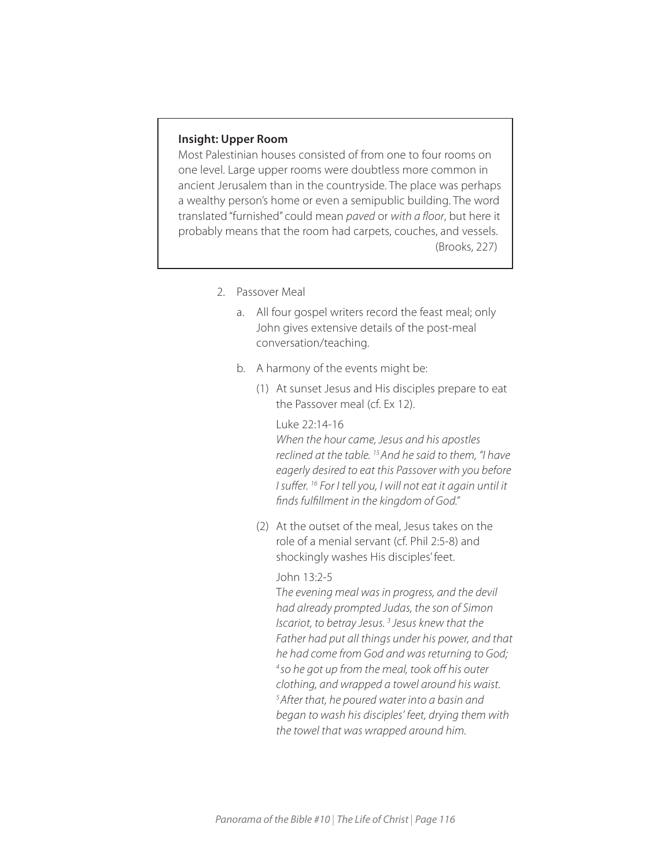## **Insight: Upper Room**

Most Palestinian houses consisted of from one to four rooms on one level. Large upper rooms were doubtless more common in ancient Jerusalem than in the countryside. The place was perhaps a wealthy person's home or even a semipublic building. The word translated "furnished" could mean *paved* or *with a floor*, but here it probably means that the room had carpets, couches, and vessels. (Brooks, 227)

- 2. Passover Meal
	- a. All four gospel writers record the feast meal; only John gives extensive details of the post-meal conversation/teaching.
	- b. A harmony of the events might be:
		- (1) At sunset Jesus and His disciples prepare to eat the Passover meal (cf. Ex 12).

Luke 22:14-16 *When the hour came, Jesus and his apostles reclined at the table. 15 And he said to them, "I have eagerly desired to eat this Passover with you before I suffer. 16 For I tell you, I will not eat it again until it finds fulfillment in the kingdom of God."* 

(2) At the outset of the meal, Jesus takes on the role of a menial servant (cf. Phil 2:5-8) and shockingly washes His disciples' feet.

#### John 13:2-5

T*he evening meal was in progress, and the devil had already prompted Judas, the son of Simon Iscariot, to betray Jesus. 3 Jesus knew that the Father had put all things under his power, and that he had come from God and was returning to God; 4 so he got up from the meal, took off his outer clothing, and wrapped a towel around his waist. 5 After that, he poured water into a basin and began to wash his disciples' feet, drying them with the towel that was wrapped around him.*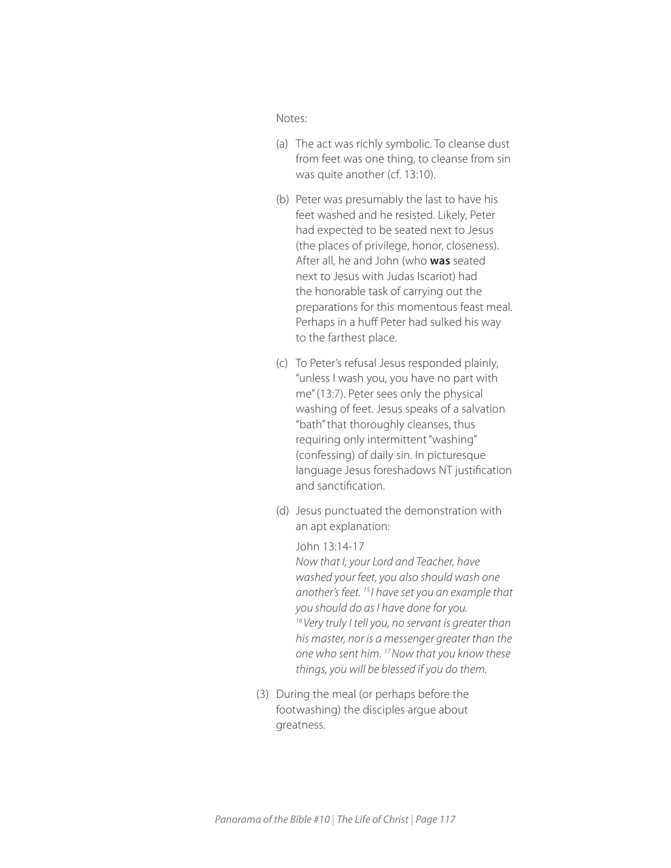Notes:

- (a) The act was richly symbolic. To cleanse dust from feet was one thing, to cleanse from sin was quite another (cf. 13:10).
- (b) Peter was presumably the last to have his feet washed and he resisted. Likely, Peter had expected to be seated next to Jesus (the places of privilege, honor, closeness). After all, he and John (who **was** seated next to Jesus with Judas Iscariot) had the honorable task of carrying out the preparations for this momentous feast meal. Perhaps in a huff Peter had sulked his way to the farthest place.
- (c) To Peter's refusal Jesus responded plainly, "unless I wash you, you have no part with me" (13:7). Peter sees only the physical washing of feet. Jesus speaks of a salvation "bath" that thoroughly cleanses, thus requiring only intermittent "washing" (confessing) of daily sin. In picturesque language Jesus foreshadows NT justification and sanctification.
- (d) Jesus punctuated the demonstration with an apt explanation:

John 13:14-17 *Now that I, your Lord and Teacher, have washed your feet, you also should wash one another's feet. 15 I have set you an example that you should do as I have done for you. 16 Very truly I tell you, no servant is greater than his master, nor is a messenger greater than the one who sent him. 17 Now that you know these things, you will be blessed if you do them.*

(3) During the meal (or perhaps before the footwashing) the disciples argue about greatness.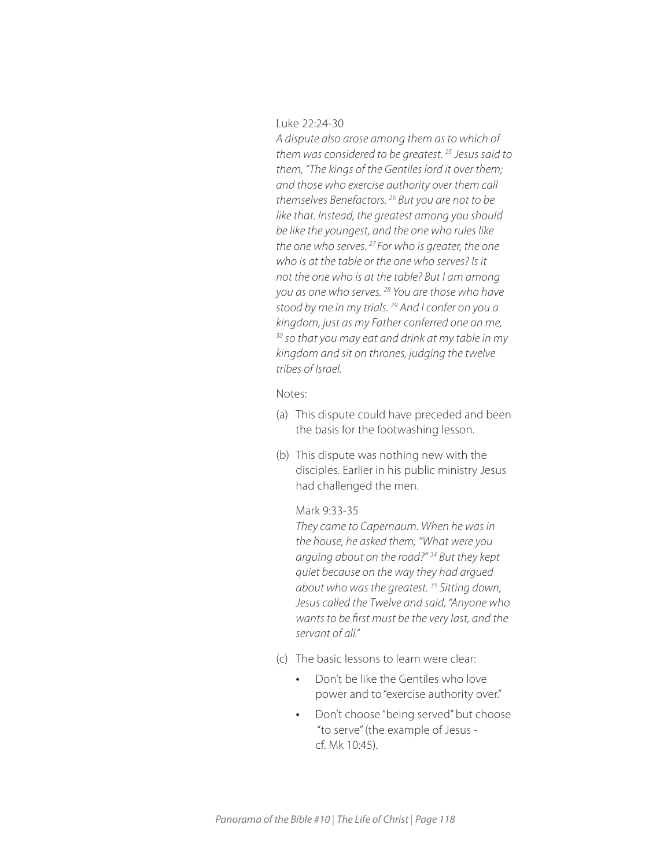Luke 22:24-30

*A dispute also arose among them as to which of them was considered to be greatest. 25 Jesus said to them, "The kings of the Gentiles lord it over them; and those who exercise authority over them call themselves Benefactors. 26 But you are not to be like that. Instead, the greatest among you should be like the youngest, and the one who rules like the one who serves. 27 For who is greater, the one who is at the table or the one who serves? Is it not the one who is at the table? But I am among you as one who serves. 28 You are those who have stood by me in my trials. 29 And I confer on you a kingdom, just as my Father conferred one on me, 30 so that you may eat and drink at my table in my kingdom and sit on thrones, judging the twelve tribes of Israel.* 

Notes:

- (a) This dispute could have preceded and been the basis for the footwashing lesson.
- (b) This dispute was nothing new with the disciples. Earlier in his public ministry Jesus had challenged the men.

#### Mark 9:33-35

*They came to Capernaum. When he was in the house, he asked them, "What were you arguing about on the road?" 34 But they kept quiet because on the way they had argued about who was the greatest. 35 Sitting down, Jesus called the Twelve and said, "Anyone who wants to be first must be the very last, and the servant of all."* 

- (c) The basic lessons to learn were clear:
	- *•* Don't be like the Gentiles who love power and to "exercise authority over."
	- *•* Don't choose "being served" but choose "to serve" (the example of Jesus cf. Mk 10:45).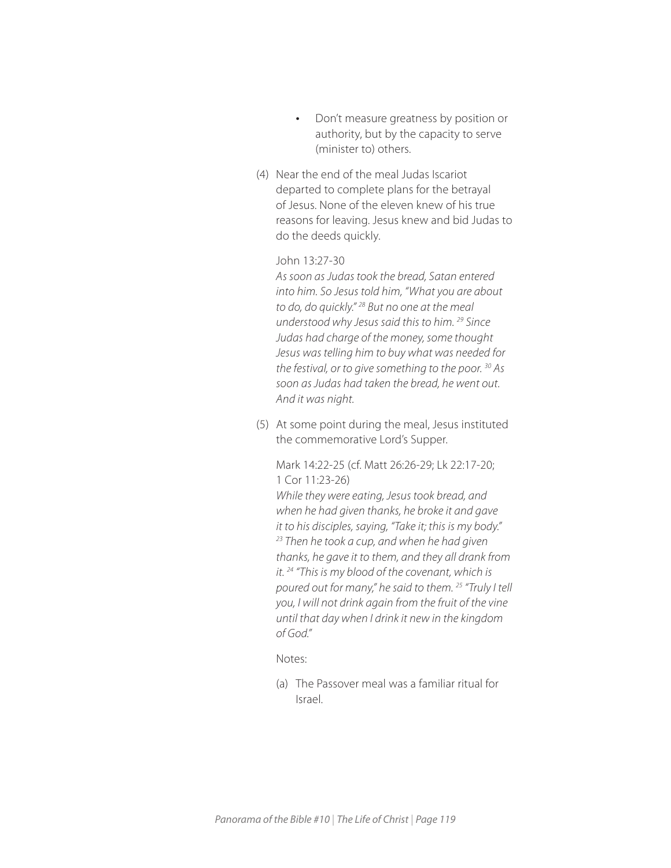- *•* Don't measure greatness by position or authority, but by the capacity to serve (minister to) others.
- (4) Near the end of the meal Judas Iscariot departed to complete plans for the betrayal of Jesus. None of the eleven knew of his true reasons for leaving. Jesus knew and bid Judas to do the deeds quickly.

## John 13:27-30

*As soon as Judas took the bread, Satan entered into him. So Jesus told him, "What you are about to do, do quickly." 28 But no one at the meal understood why Jesus said this to him. 29 Since Judas had charge of the money, some thought Jesus was telling him to buy what was needed for the festival, or to give something to the poor. 30 As soon as Judas had taken the bread, he went out. And it was night.*

(5) At some point during the meal, Jesus instituted the commemorative Lord's Supper.

Mark 14:22-25 (cf. Matt 26:26-29; Lk 22:17-20; 1 Cor 11:23-26)

*While they were eating, Jesus took bread, and when he had given thanks, he broke it and gave it to his disciples, saying, "Take it; this is my body." 23 Then he took a cup, and when he had given thanks, he gave it to them, and they all drank from it. 24 "This is my blood of the covenant, which is poured out for many," he said to them. 25 "Truly I tell you, I will not drink again from the fruit of the vine until that day when I drink it new in the kingdom of God."* 

## Notes:

(a) The Passover meal was a familiar ritual for Israel.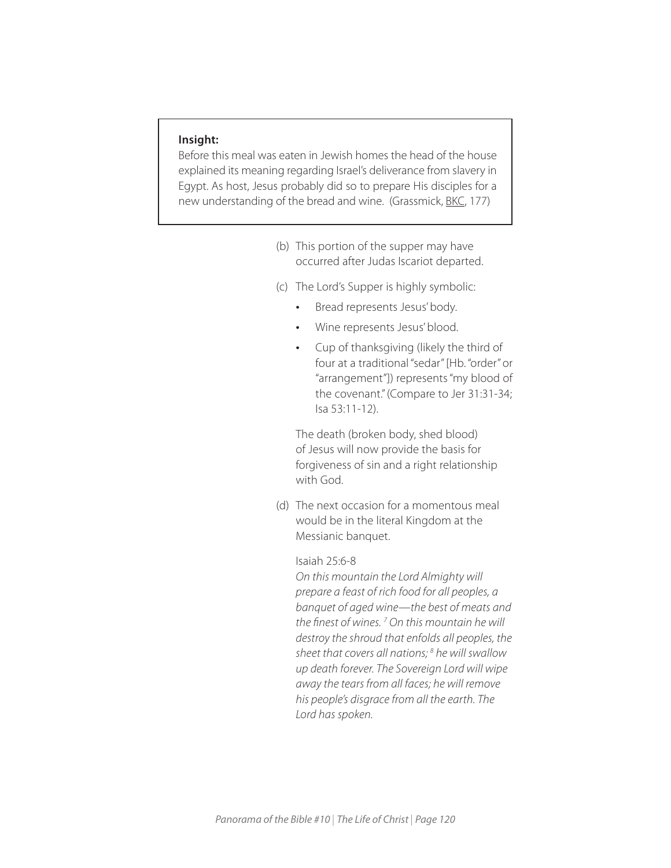### **Insight:**

Before this meal was eaten in Jewish homes the head of the house explained its meaning regarding Israel's deliverance from slavery in Egypt. As host, Jesus probably did so to prepare His disciples for a new understanding of the bread and wine. (Grassmick, BKC, 177)

- (b) This portion of the supper may have occurred after Judas Iscariot departed.
- (c) The Lord's Supper is highly symbolic:
	- *•* Bread represents Jesus' body.
	- *•* Wine represents Jesus' blood.
	- *•* Cup of thanksgiving (likely the third of four at a traditional "sedar" [Hb. "order" or "arrangement"]) represents "my blood of the covenant." (Compare to Jer 31:31-34; Isa 53:11-12).

The death (broken body, shed blood) of Jesus will now provide the basis for forgiveness of sin and a right relationship with God.

(d) The next occasion for a momentous meal would be in the literal Kingdom at the Messianic banquet.

Isaiah 25:6-8

*On this mountain the Lord Almighty will prepare a feast of rich food for all peoples, a banquet of aged wine—the best of meats and the finest of wines. 7 On this mountain he will destroy the shroud that enfolds all peoples, the sheet that covers all nations; 8 he will swallow up death forever. The Sovereign Lord will wipe away the tears from all faces; he will remove his people's disgrace from all the earth. The Lord has spoken.*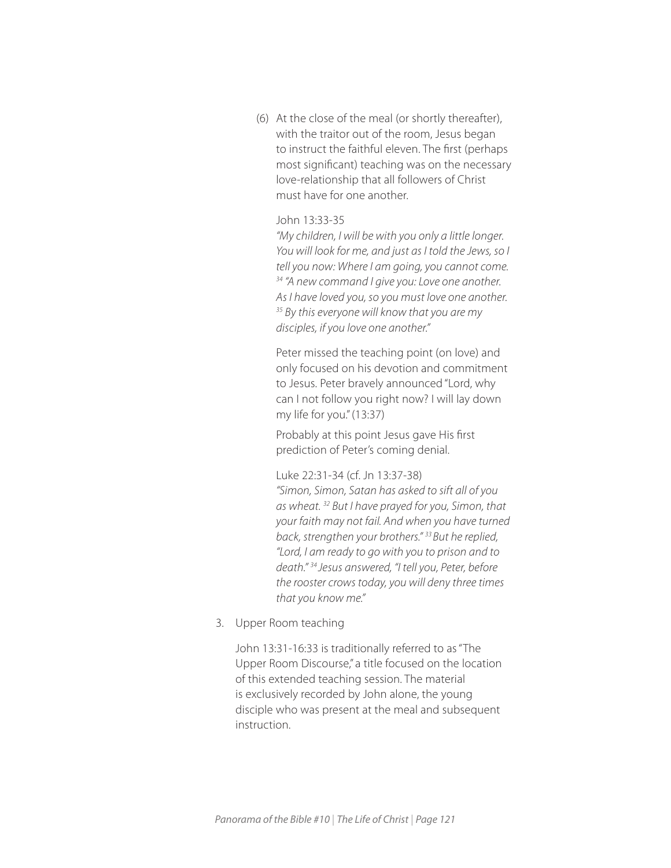(6) At the close of the meal (or shortly thereafter), with the traitor out of the room, Jesus began to instruct the faithful eleven. The first (perhaps most significant) teaching was on the necessary love-relationship that all followers of Christ must have for one another.

## John 13:33-35

*"My children, I will be with you only a little longer. You will look for me, and just as I told the Jews, so I tell you now: Where I am going, you cannot come. 34 "A new command I give you: Love one another. As I have loved you, so you must love one another. 35 By this everyone will know that you are my disciples, if you love one another."*

Peter missed the teaching point (on love) and only focused on his devotion and commitment to Jesus. Peter bravely announced "Lord, why can I not follow you right now? I will lay down my life for you." (13:37)

Probably at this point Jesus gave His first prediction of Peter's coming denial.

Luke 22:31-34 (cf. Jn 13:37-38)

*"Simon, Simon, Satan has asked to sift all of you as wheat. 32 But I have prayed for you, Simon, that your faith may not fail. And when you have turned back, strengthen your brothers." 33 But he replied, "Lord, I am ready to go with you to prison and to death." 34 Jesus answered, "I tell you, Peter, before the rooster crows today, you will deny three times that you know me."* 

3. Upper Room teaching

John 13:31-16:33 is traditionally referred to as "The Upper Room Discourse," a title focused on the location of this extended teaching session. The material is exclusively recorded by John alone, the young disciple who was present at the meal and subsequent instruction.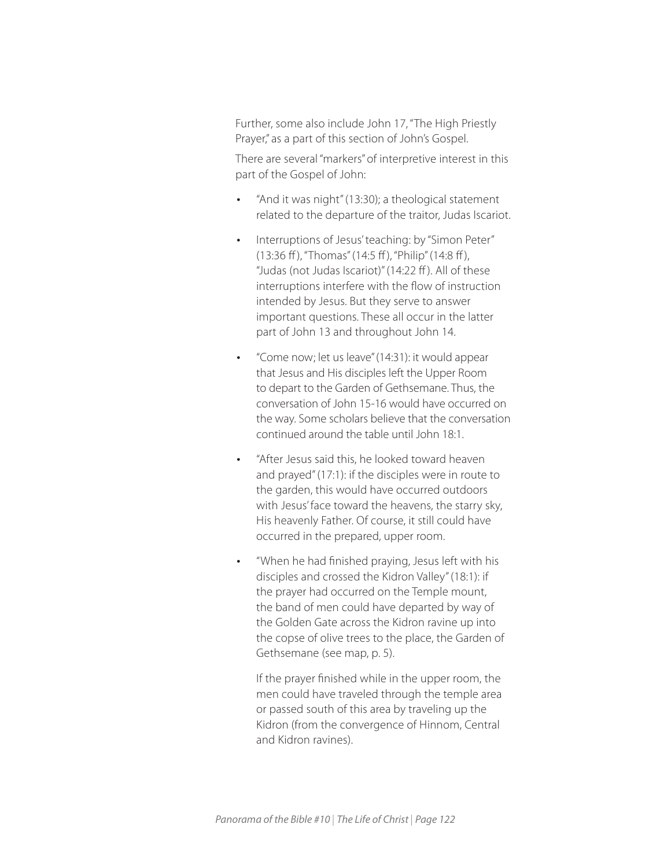Further, some also include John 17, "The High Priestly Prayer," as a part of this section of John's Gospel.

There are several "markers" of interpretive interest in this part of the Gospel of John:

- *•* "And it was night" (13:30); a theological statement related to the departure of the traitor, Judas Iscariot.
- *•* Interruptions of Jesus' teaching: by "Simon Peter" (13:36 ff ), "Thomas" (14:5 ff ), "Philip" (14:8 ff ), "Judas (not Judas Iscariot)" (14:22 ff ). All of these interruptions interfere with the flow of instruction intended by Jesus. But they serve to answer important questions. These all occur in the latter part of John 13 and throughout John 14.
- *•* "Come now; let us leave" (14:31): it would appear that Jesus and His disciples left the Upper Room to depart to the Garden of Gethsemane. Thus, the conversation of John 15-16 would have occurred on the way. Some scholars believe that the conversation continued around the table until John 18:1.
- *•* "After Jesus said this, he looked toward heaven and prayed" (17:1): if the disciples were in route to the garden, this would have occurred outdoors with Jesus' face toward the heavens, the starry sky, His heavenly Father. Of course, it still could have occurred in the prepared, upper room.
- *•* "When he had finished praying, Jesus left with his disciples and crossed the Kidron Valley" (18:1): if the prayer had occurred on the Temple mount, the band of men could have departed by way of the Golden Gate across the Kidron ravine up into the copse of olive trees to the place, the Garden of Gethsemane (see map, p. 5).

If the prayer finished while in the upper room, the men could have traveled through the temple area or passed south of this area by traveling up the Kidron (from the convergence of Hinnom, Central and Kidron ravines).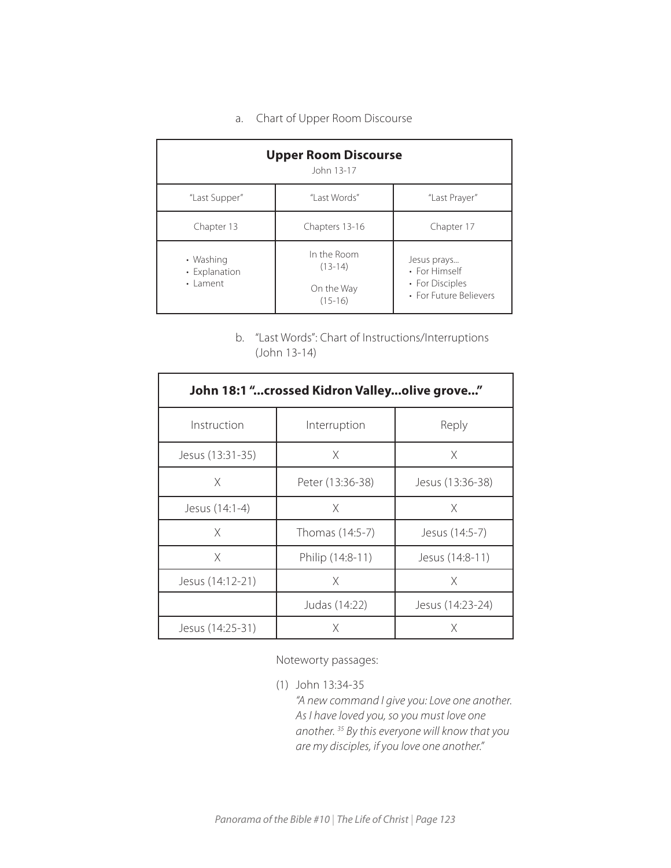a. Chart of Upper Room Discourse

| <b>Upper Room Discourse</b><br>John 13-17     |                                                     |                                                                           |  |  |  |
|-----------------------------------------------|-----------------------------------------------------|---------------------------------------------------------------------------|--|--|--|
| "Last Supper"                                 | "I ast Words"                                       | "Last Prayer"                                                             |  |  |  |
| Chapter 13                                    | Chapters 13-16                                      | Chapter 17                                                                |  |  |  |
| • Washing<br>• Explanation<br>$\cdot$   ament | In the Room<br>$(13-14)$<br>On the Way<br>$(15-16)$ | Jesus prays<br>• For Himself<br>• For Disciples<br>• For Future Believers |  |  |  |

b. "Last Words": Chart of Instructions/Interruptions (John 13-14)

| John 18:1 "crossed Kidron Valleyolive grove" |                  |                  |  |  |  |
|----------------------------------------------|------------------|------------------|--|--|--|
| Instruction                                  | Interruption     | Reply            |  |  |  |
| Jesus (13:31-35)                             | X                | X                |  |  |  |
| X                                            | Peter (13:36-38) | Jesus (13:36-38) |  |  |  |
| Jesus (14:1-4)                               | X                | X                |  |  |  |
| X                                            | Thomas (14:5-7)  | Jesus (14:5-7)   |  |  |  |
| X                                            | Philip (14:8-11) | Jesus (14:8-11)  |  |  |  |
| Jesus (14:12-21)                             | X                | X                |  |  |  |
|                                              | Judas (14:22)    | Jesus (14:23-24) |  |  |  |
| Jesus (14:25-31)                             | X                | X                |  |  |  |

Noteworty passages:

(1) John 13:34-35 *"A new command I give you: Love one another. As I have loved you, so you must love one another. 35 By this everyone will know that you are my disciples, if you love one another."*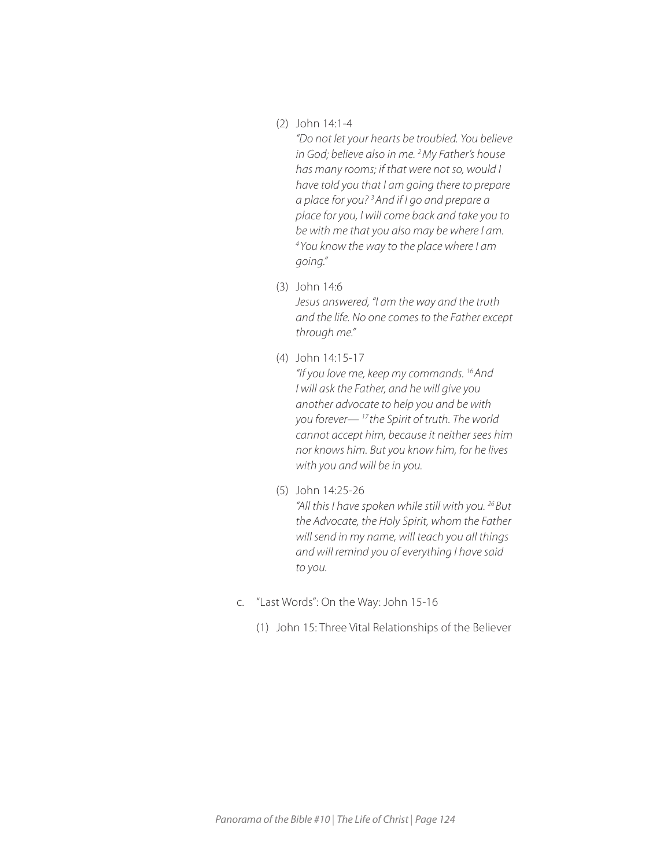(2) John 14:1-4

*"Do not let your hearts be troubled. You believe in God; believe also in me. 2 My Father's house has many rooms; if that were not so, would I have told you that I am going there to prepare*  a place for you?<sup>3</sup> And if I go and prepare a *place for you, I will come back and take you to be with me that you also may be where I am. 4 You know the way to the place where I am going."* 

- (3) John 14:6 *Jesus answered, "I am the way and the truth and the life. No one comes to the Father except through me."*
- (4) John 14:15-17

*"If you love me, keep my commands. 16 And I will ask the Father, and he will give you another advocate to help you and be with you forever— 17 the Spirit of truth. The world cannot accept him, because it neither sees him nor knows him. But you know him, for he lives with you and will be in you.* 

(5) John 14:25-26

*"All this I have spoken while still with you. 26 But the Advocate, the Holy Spirit, whom the Father will send in my name, will teach you all things and will remind you of everything I have said to you.* 

- c. "Last Words": On the Way: John 15-16
	- (1) John 15: Three Vital Relationships of the Believer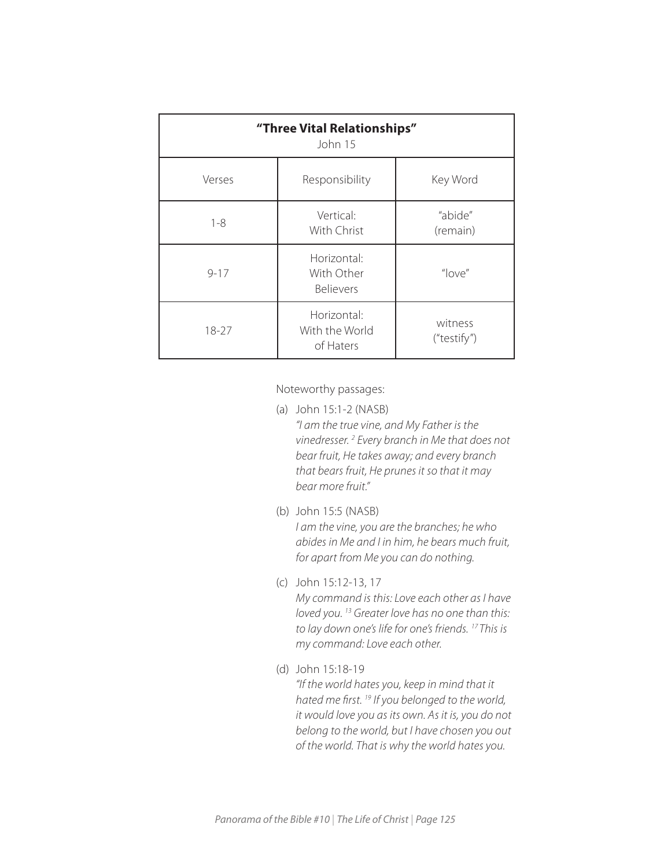| "Three Vital Relationships"<br>John 15 |                                               |                        |  |  |
|----------------------------------------|-----------------------------------------------|------------------------|--|--|
| Verses                                 | Responsibility                                | Key Word               |  |  |
| $1 - 8$                                | Vertical:<br>With Christ                      | "abide"<br>(remain)    |  |  |
| $9 - 17$                               | Horizontal:<br>With Other<br><b>Believers</b> | "love"                 |  |  |
| 18-27                                  | Horizontal:<br>With the World<br>of Haters    | witness<br>("testify") |  |  |

Noteworthy passages:

- (a) John 15:1-2 (NASB) *"I am the true vine, and My Father is the vinedresser. 2 Every branch in Me that does not bear fruit, He takes away; and every branch that bears fruit, He prunes it so that it may bear more fruit."*
- (b) John 15:5 (NASB) *I am the vine, you are the branches; he who abides in Me and I in him, he bears much fruit, for apart from Me you can do nothing.*
- (c) John 15:12-13, 17 *My command is this: Love each other as I have loved you. 13 Greater love has no one than this: to lay down one's life for one's friends. 17 This is my command: Love each other.*
- (d) John 15:18-19 *"If the world hates you, keep in mind that it hated me first. 19 If you belonged to the world, it would love you as its own. As it is, you do not belong to the world, but I have chosen you out of the world. That is why the world hates you.*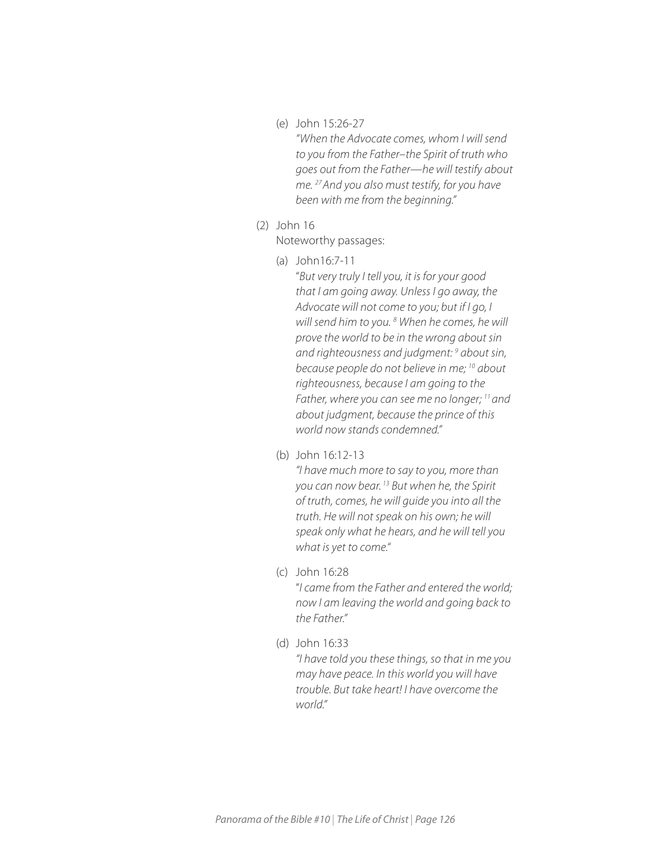(e) John 15:26-27

*"When the Advocate comes, whom I will send to you from the Father*–*the Spirit of truth who goes out from the Father—he will testify about me. 27 And you also must testify, for you have been with me from the beginning."* 

## (2) John 16

Noteworthy passages:

(a) John16:7-11

"*But very truly I tell you, it is for your good that I am going away. Unless I go away, the Advocate will not come to you; but if I go, I*  will send him to you. <sup>8</sup> When he comes, he will *prove the world to be in the wrong about sin and righteousness and judgment: 9 about sin, because people do not believe in me; 10 about righteousness, because I am going to the Father, where you can see me no longer; 11 and about judgment, because the prince of this world now stands condemned."* 

(b) John 16:12-13

*"I have much more to say to you, more than you can now bear. 13 But when he, the Spirit of truth, comes, he will guide you into all the truth. He will not speak on his own; he will speak only what he hears, and he will tell you what is yet to come."*

(c) John 16:28

"*I came from the Father and entered the world; now I am leaving the world and going back to the Father."* 

(d) John 16:33

*"I have told you these things, so that in me you may have peace. In this world you will have trouble. But take heart! I have overcome the world."*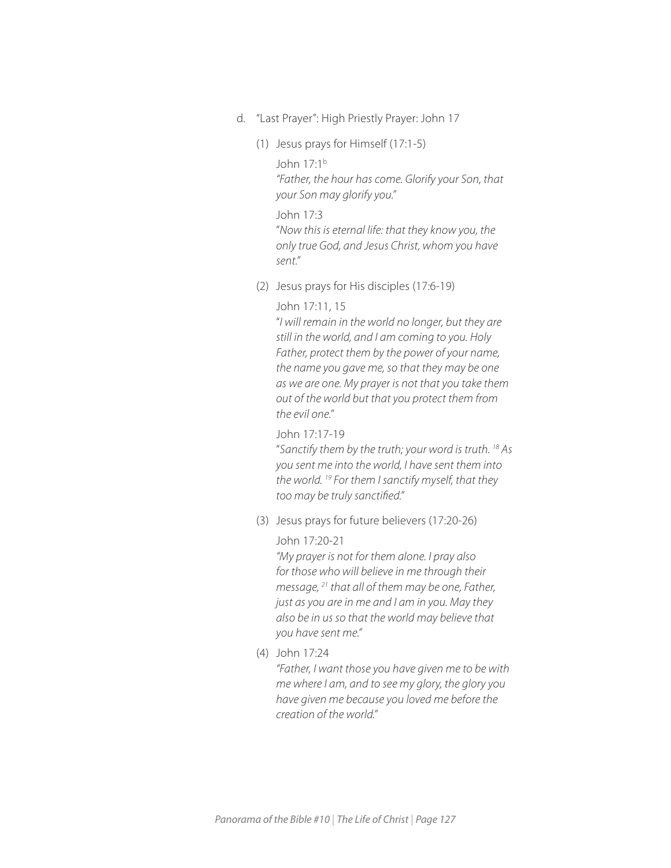- d. "Last Prayer": High Priestly Prayer: John 17
	- (1) Jesus prays for Himself (17:1-5)

John 17:1b

*"Father, the hour has come. Glorify your Son, that your Son may glorify you."*

### John 17:3

"*Now this is eternal life: that they know you, the only true God, and Jesus Christ, whom you have sent."*

(2) Jesus prays for His disciples (17:6-19)

## John 17:11, 15

"*I will remain in the world no longer, but they are still in the world, and I am coming to you. Holy Father, protect them by the power of your name, the name you gave me, so that they may be one as we are one. My prayer is not that you take them out of the world but that you protect them from the evil one."*

## John 17:17-19

"*Sanctify them by the truth; your word is truth. 18 As you sent me into the world, I have sent them into the world. 19 For them I sanctify myself, that they too may be truly sanctified."* 

(3) Jesus prays for future believers (17:20-26)

#### John 17:20-21

*"My prayer is not for them alone. I pray also for those who will believe in me through their message, 21 that all of them may be one, Father, just as you are in me and I am in you. May they also be in us so that the world may believe that you have sent me."* 

(4) John 17:24

*"Father, I want those you have given me to be with me where I am, and to see my glory, the glory you have given me because you loved me before the creation of the world."*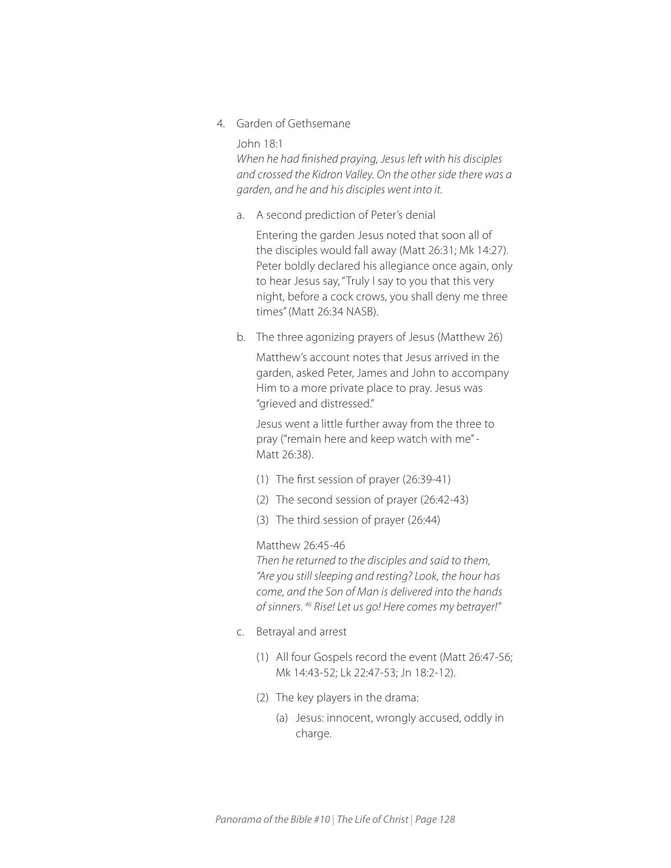4. Garden of Gethsemane

John 18:1

*When he had finished praying, Jesus left with his disciples and crossed the Kidron Valley. On the other side there was a garden, and he and his disciples went into it.* 

a. A second prediction of Peter's denial

Entering the garden Jesus noted that soon all of the disciples would fall away (Matt 26:31; Mk 14:27). Peter boldly declared his allegiance once again, only to hear Jesus say, "Truly I say to you that this very night, before a cock crows, you shall deny me three times" (Matt 26:34 NASB).

b. The three agonizing prayers of Jesus (Matthew 26)

Matthew's account notes that Jesus arrived in the garden, asked Peter, James and John to accompany Him to a more private place to pray. Jesus was "grieved and distressed."

Jesus went a little further away from the three to pray ("remain here and keep watch with me" - Matt 26:38).

- (1) The first session of prayer (26:39-41)
- (2) The second session of prayer (26:42-43)
- (3) The third session of prayer (26:44)

#### Matthew 26:45-46

*Then he returned to the disciples and said to them, "Are you still sleeping and resting? Look, the hour has come, and the Son of Man is delivered into the hands of sinners. 46 Rise! Let us go! Here comes my betrayer!"* 

- c. Betrayal and arrest
	- (1) All four Gospels record the event (Matt 26:47-56; Mk 14:43-52; Lk 22:47-53; Jn 18:2-12).
	- (2) The key players in the drama:
		- (a) Jesus: innocent, wrongly accused, oddly in charge.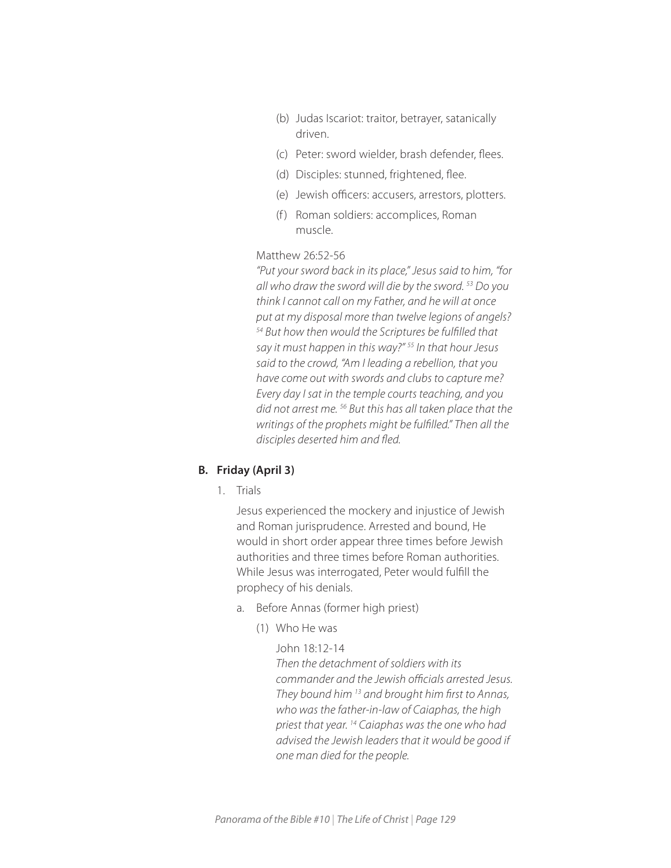- (b) Judas Iscariot: traitor, betrayer, satanically driven.
- (c) Peter: sword wielder, brash defender, flees.
- (d) Disciples: stunned, frightened, flee.
- (e) Jewish officers: accusers, arrestors, plotters.
- (f) Roman soldiers: accomplices, Roman muscle.

## Matthew 26:52-56

*"Put your sword back in its place," Jesus said to him, "for all who draw the sword will die by the sword. 53 Do you think I cannot call on my Father, and he will at once put at my disposal more than twelve legions of angels? 54 But how then would the Scriptures be fulfilled that say it must happen in this way?" 55 In that hour Jesus said to the crowd, "Am I leading a rebellion, that you have come out with swords and clubs to capture me? Every day I sat in the temple courts teaching, and you did not arrest me. 56 But this has all taken place that the writings of the prophets might be fulfilled." Then all the disciples deserted him and fled.* 

## **B. Friday (April 3)**

1. Trials

Jesus experienced the mockery and injustice of Jewish and Roman jurisprudence. Arrested and bound, He would in short order appear three times before Jewish authorities and three times before Roman authorities. While Jesus was interrogated, Peter would fulfill the prophecy of his denials.

- a. Before Annas (former high priest)
	- (1) Who He was

## John 18:12-14 *Then the detachment of soldiers with its commander and the Jewish officials arrested Jesus. They bound him 13 and brought him first to Annas, who was the father-in-law of Caiaphas, the high priest that year. 14 Caiaphas was the one who had advised the Jewish leaders that it would be good if one man died for the people.*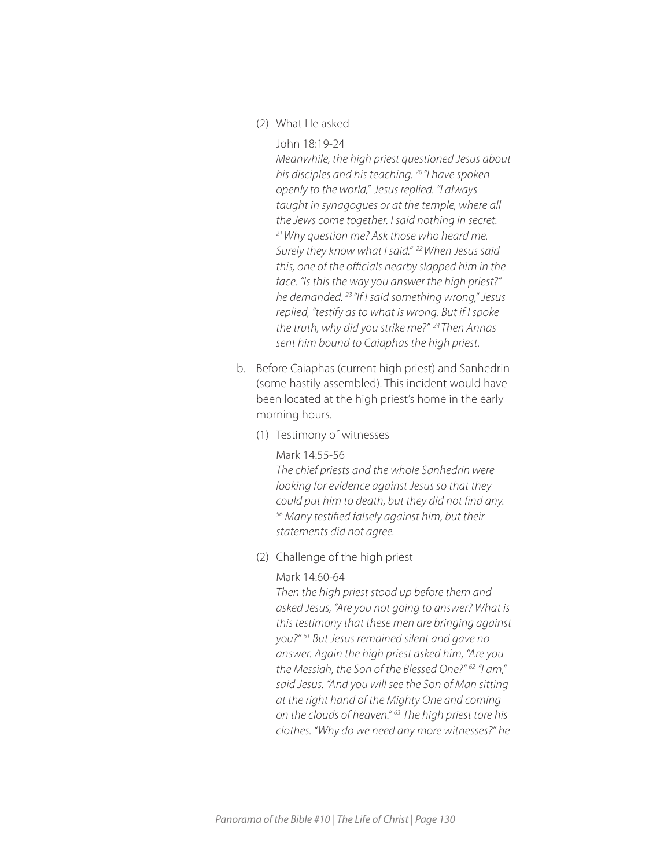- (2) What He asked
	- John 18:19-24

*Meanwhile, the high priest questioned Jesus about his disciples and his teaching. 20 "I have spoken openly to the world," Jesus replied. "I always taught in synagogues or at the temple, where all the Jews come together. I said nothing in secret. 21 Why question me? Ask those who heard me. Surely they know what I said." 22 When Jesus said this, one of the officials nearby slapped him in the face. "Is this the way you answer the high priest?" he demanded. 23 "If I said something wrong," Jesus replied, "testify as to what is wrong. But if I spoke the truth, why did you strike me?" 24 Then Annas sent him bound to Caiaphas the high priest.* 

- b. Before Caiaphas (current high priest) and Sanhedrin (some hastily assembled). This incident would have been located at the high priest's home in the early morning hours.
	- (1) Testimony of witnesses

#### Mark 14:55-56

*The chief priests and the whole Sanhedrin were looking for evidence against Jesus so that they could put him to death, but they did not find any. 56 Many testified falsely against him, but their statements did not agree.* 

(2) Challenge of the high priest

#### Mark 14:60-64

*Then the high priest stood up before them and asked Jesus, "Are you not going to answer? What is this testimony that these men are bringing against you?" 61 But Jesus remained silent and gave no answer. Again the high priest asked him, "Are you the Messiah, the Son of the Blessed One?" 62 "I am," said Jesus. "And you will see the Son of Man sitting at the right hand of the Mighty One and coming on the clouds of heaven." 63 The high priest tore his clothes. "Why do we need any more witnesses?" he*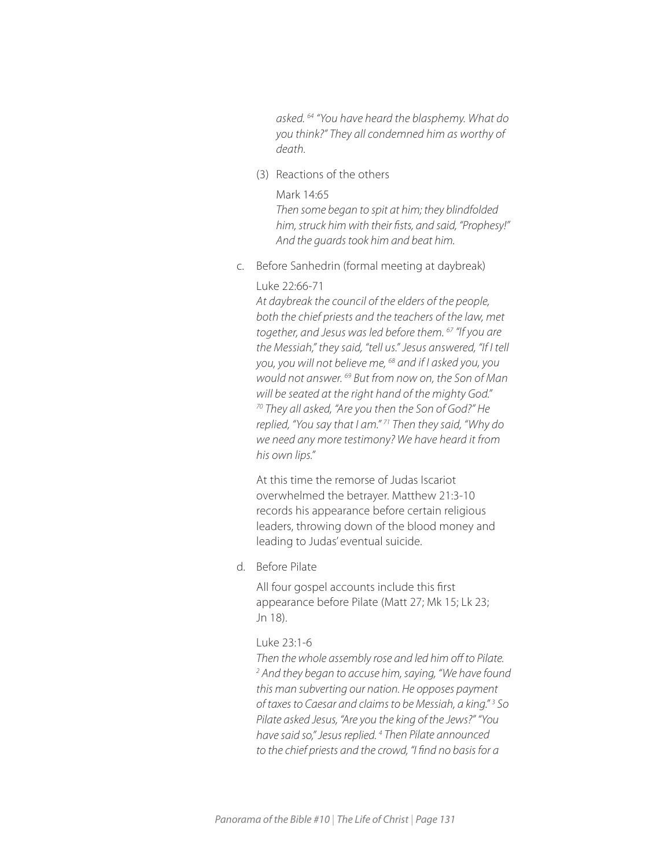*asked. 64 "You have heard the blasphemy. What do you think?" They all condemned him as worthy of death.*

(3) Reactions of the others

## Mark 14:65

*Then some began to spit at him; they blindfolded him, struck him with their fists, and said, "Prophesy!" And the guards took him and beat him.* 

c. Before Sanhedrin (formal meeting at daybreak)

## Luke 22:66-71

*At daybreak the council of the elders of the people, both the chief priests and the teachers of the law, met together, and Jesus was led before them. 67 "If you are the Messiah," they said, "tell us." Jesus answered, "If I tell you, you will not believe me, 68 and if I asked you, you would not answer. 69 But from now on, the Son of Man will be seated at the right hand of the mighty God." 70 They all asked, "Are you then the Son of God?" He replied, "You say that I am." 71 Then they said, "Why do we need any more testimony? We have heard it from his own lips."*

At this time the remorse of Judas Iscariot overwhelmed the betrayer. Matthew 21:3-10 records his appearance before certain religious leaders, throwing down of the blood money and leading to Judas' eventual suicide.

d. Before Pilate

All four gospel accounts include this first appearance before Pilate (Matt 27; Mk 15; Lk 23; Jn 18).

#### Luke 23:1-6

*Then the whole assembly rose and led him off to Pilate. 2 And they began to accuse him, saying, "We have found this man subverting our nation. He opposes payment of taxes to Caesar and claims to be Messiah, a king." 3 So Pilate asked Jesus, "Are you the king of the Jews?" "You have said so," Jesus replied. 4 Then Pilate announced to the chief priests and the crowd, "I find no basis for a*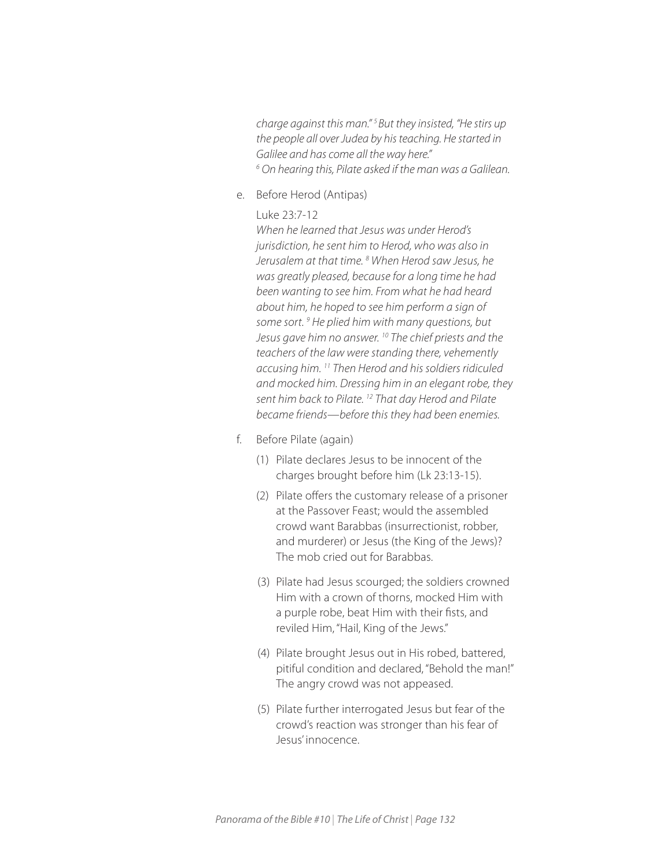*charge against this man." 5 But they insisted, "He stirs up the people all over Judea by his teaching. He started in Galilee and has come all the way here." 6 On hearing this, Pilate asked if the man was a Galilean.* 

e. Before Herod (Antipas)

## Luke 23:7-12

*When he learned that Jesus was under Herod's jurisdiction, he sent him to Herod, who was also in Jerusalem at that time. 8 When Herod saw Jesus, he was greatly pleased, because for a long time he had been wanting to see him. From what he had heard about him, he hoped to see him perform a sign of*  some sort.<sup>9</sup> He plied him with many questions, but *Jesus gave him no answer. 10 The chief priests and the teachers of the law were standing there, vehemently accusing him. 11 Then Herod and his soldiers ridiculed and mocked him. Dressing him in an elegant robe, they sent him back to Pilate. 12 That day Herod and Pilate became friends—before this they had been enemies.*

- f. Before Pilate (again)
	- (1) Pilate declares Jesus to be innocent of the charges brought before him (Lk 23:13-15).
	- (2) Pilate offers the customary release of a prisoner at the Passover Feast; would the assembled crowd want Barabbas (insurrectionist, robber, and murderer) or Jesus (the King of the Jews)? The mob cried out for Barabbas.
	- (3) Pilate had Jesus scourged; the soldiers crowned Him with a crown of thorns, mocked Him with a purple robe, beat Him with their fists, and reviled Him, "Hail, King of the Jews."
	- (4) Pilate brought Jesus out in His robed, battered, pitiful condition and declared, "Behold the man!" The angry crowd was not appeased.
	- (5) Pilate further interrogated Jesus but fear of the crowd's reaction was stronger than his fear of Jesus' innocence.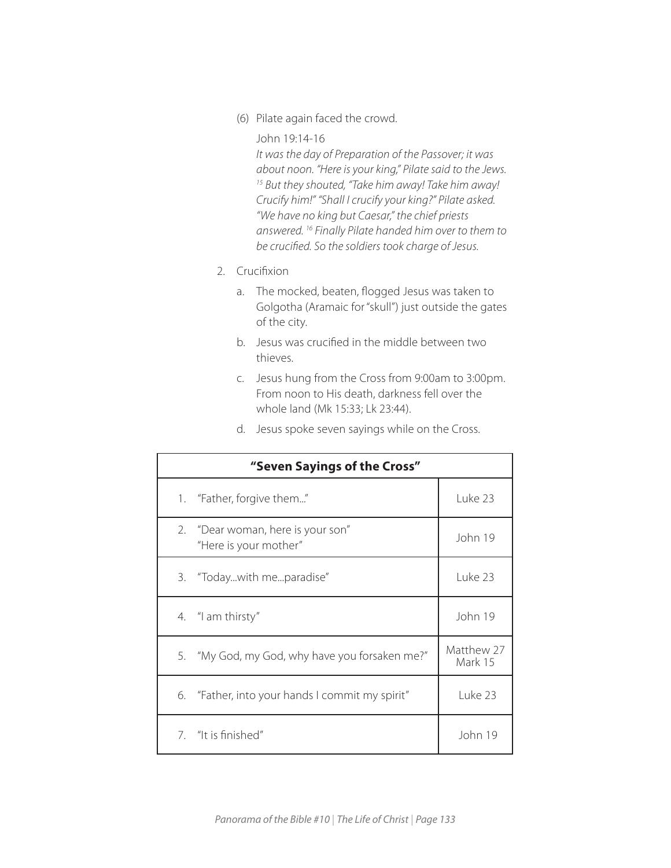(6) Pilate again faced the crowd.

#### John 19:14-16

*It was the day of Preparation of the Passover; it was about noon. "Here is your king," Pilate said to the Jews. 15 But they shouted, "Take him away! Take him away! Crucify him!" "Shall I crucify your king?" Pilate asked. "We have no king but Caesar," the chief priests answered. 16 Finally Pilate handed him over to them to be crucified. So the soldiers took charge of Jesus.* 

- 2. Crucifixion
	- a. The mocked, beaten, flogged Jesus was taken to Golgotha (Aramaic for "skull") just outside the gates of the city.
	- b. Jesus was crucified in the middle between two thieves.
	- c. Jesus hung from the Cross from 9:00am to 3:00pm. From noon to His death, darkness fell over the whole land (Mk 15:33; Lk 23:44).
	- d. Jesus spoke seven sayings while on the Cross.

| "Seven Sayings of the Cross" |                                                            |                       |
|------------------------------|------------------------------------------------------------|-----------------------|
|                              | 1. "Father, forgive them"                                  | Luke 23               |
|                              | 2. "Dear woman, here is your son"<br>"Here is your mother" | John 19               |
|                              | 3. "Todaywith meparadise"                                  | Luke 23               |
|                              | 4. "I am thirsty"                                          | John 19               |
| 5.                           | "My God, my God, why have you forsaken me?"                | Matthew 27<br>Mark 15 |
|                              | 6. "Father, into your hands I commit my spirit"            | Luke 23               |
|                              | 7. "It is finished"                                        | John 19               |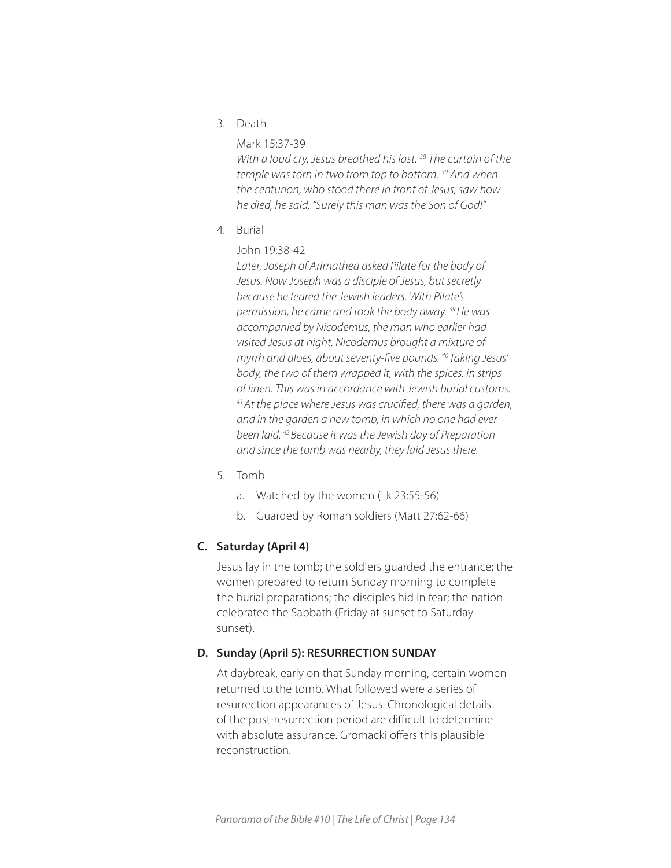3. Death

## Mark 15:37-39

*With a loud cry, Jesus breathed his last. 38 The curtain of the temple was torn in two from top to bottom. 39 And when the centurion, who stood there in front of Jesus, saw how he died, he said, "Surely this man was the Son of God!"*

- 4. Burial
	- John 19:38-42

*Later, Joseph of Arimathea asked Pilate for the body of Jesus. Now Joseph was a disciple of Jesus, but secretly because he feared the Jewish leaders. With Pilate's permission, he came and took the body away. 39 He was accompanied by Nicodemus, the man who earlier had visited Jesus at night. Nicodemus brought a mixture of myrrh and aloes, about seventy-five pounds. 40 Taking Jesus' body, the two of them wrapped it, with the spices, in strips of linen. This was in accordance with Jewish burial customs. 41 At the place where Jesus was crucified, there was a garden, and in the garden a new tomb, in which no one had ever been laid. 42 Because it was the Jewish day of Preparation and since the tomb was nearby, they laid Jesus there.* 

- 5. Tomb
	- a. Watched by the women (Lk 23:55-56)
	- b. Guarded by Roman soldiers (Matt 27:62-66)

## **C. Saturday (April 4)**

Jesus lay in the tomb; the soldiers guarded the entrance; the women prepared to return Sunday morning to complete the burial preparations; the disciples hid in fear; the nation celebrated the Sabbath (Friday at sunset to Saturday sunset).

## **D. Sunday (April 5): RESURRECTION SUNDAY**

At daybreak, early on that Sunday morning, certain women returned to the tomb. What followed were a series of resurrection appearances of Jesus. Chronological details of the post-resurrection period are difficult to determine with absolute assurance. Gromacki offers this plausible reconstruction.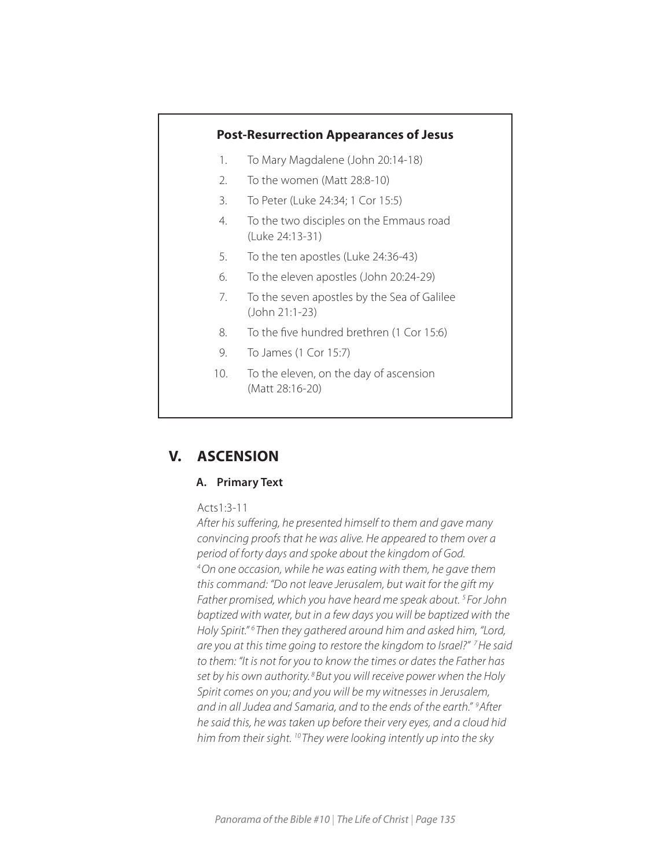## **Post-Resurrection Appearances of Jesus**

- 1. To Mary Magdalene (John 20:14-18)
- 2. To the women (Matt 28:8-10)
- 3. To Peter (Luke 24:34; 1 Cor 15:5)
- 4. To the two disciples on the Emmaus road (Luke 24:13-31)
- 5. To the ten apostles (Luke 24:36-43)
- 6. To the eleven apostles (John 20:24-29)
- 7. To the seven apostles by the Sea of Galilee (John 21:1-23)
- 8. To the five hundred brethren (1 Cor 15:6)
- 9. To James (1 Cor 15:7)
- 10. To the eleven, on the day of ascension (Matt 28:16-20)

# **V. ASCENSION**

## **A. Primary Text**

#### Acts1:3-11

*After his suffering, he presented himself to them and gave many convincing proofs that he was alive. He appeared to them over a period of forty days and spoke about the kingdom of God. 4 On one occasion, while he was eating with them, he gave them this command: "Do not leave Jerusalem, but wait for the gift my Father promised, which you have heard me speak about. 5 For John baptized with water, but in a few days you will be baptized with the*  Holy Spirit."<sup>6</sup> Then they gathered around him and asked him, "Lord, are you at this time going to restore the kingdom to Israel?"<sup>7</sup> He said *to them: "It is not for you to know the times or dates the Father has set by his own authority. 8 But you will receive power when the Holy Spirit comes on you; and you will be my witnesses in Jerusalem, and in all Judea and Samaria, and to the ends of the earth." 9 After he said this, he was taken up before their very eyes, and a cloud hid him from their sight. 10 They were looking intently up into the sky*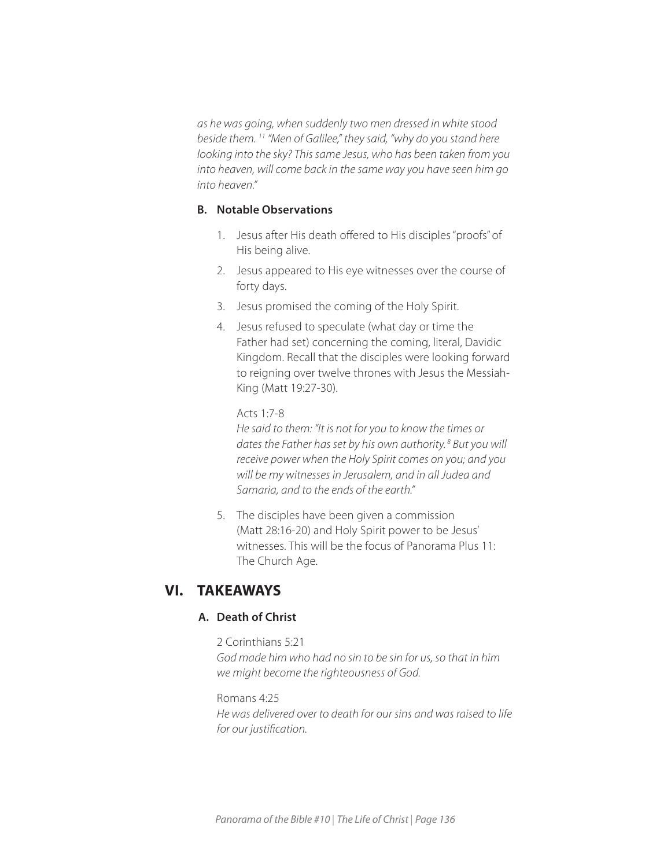*as he was going, when suddenly two men dressed in white stood beside them. 11 "Men of Galilee," they said, "why do you stand here looking into the sky? This same Jesus, who has been taken from you into heaven, will come back in the same way you have seen him go into heaven."* 

## **B. Notable Observations**

- 1. Jesus after His death offered to His disciples "proofs" of His being alive.
- 2. Jesus appeared to His eye witnesses over the course of forty days.
- 3. Jesus promised the coming of the Holy Spirit.
- 4. Jesus refused to speculate (what day or time the Father had set) concerning the coming, literal, Davidic Kingdom. Recall that the disciples were looking forward to reigning over twelve thrones with Jesus the Messiah-King (Matt 19:27-30).

## Acts 1:7-8

*He said to them: "It is not for you to know the times or dates the Father has set by his own authority. 8 But you will receive power when the Holy Spirit comes on you; and you will be my witnesses in Jerusalem, and in all Judea and Samaria, and to the ends of the earth."* 

5. The disciples have been given a commission (Matt 28:16-20) and Holy Spirit power to be Jesus' witnesses. This will be the focus of Panorama Plus 11: The Church Age.

# **VI. TAKEAWAYS**

## **A. Death of Christ**

2 Corinthians 5:21 *God made him who had no sin to be sin for us, so that in him we might become the righteousness of God.* 

Romans 4:25 *He was delivered over to death for our sins and was raised to life for our justification.*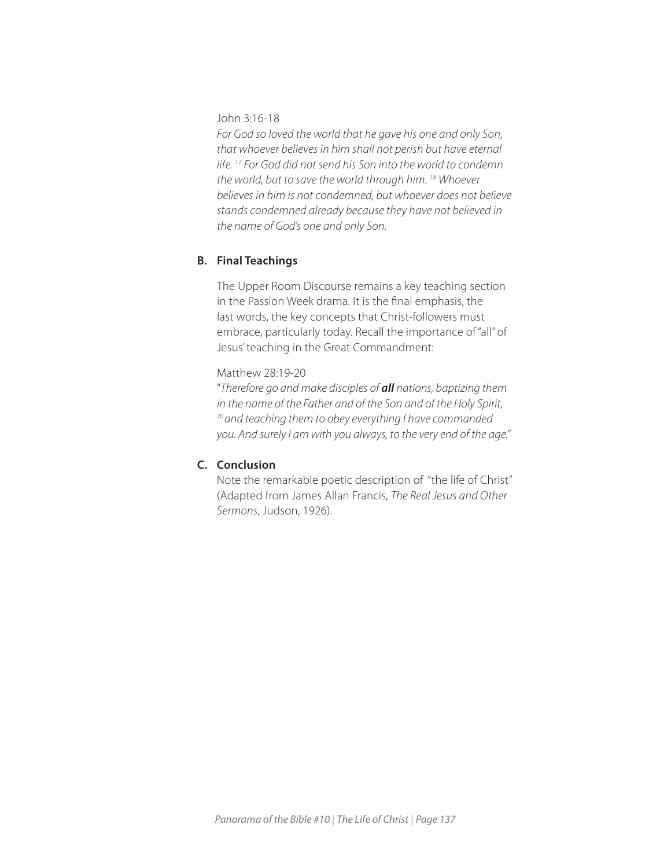John 3:16-18

*For God so loved the world that he gave his one and only Son, that whoever believes in him shall not perish but have eternal life. 17 For God did not send his Son into the world to condemn the world, but to save the world through him. 18 Whoever believes in him is not condemned, but whoever does not believe stands condemned already because they have not believed in the name of God's one and only Son.* 

## **B. Final Teachings**

The Upper Room Discourse remains a key teaching section in the Passion Week drama. It is the final emphasis, the last words, the key concepts that Christ-followers must embrace, particularly today. Recall the importance of "all" of Jesus' teaching in the Great Commandment:

Matthew 28:19-20

"*Therefore go and make disciples of all nations, baptizing them in the name of the Father and of the Son and of the Holy Spirit, 20 and teaching them to obey everything I have commanded you. And surely I am with you always, to the very end of the age."* 

## **C. Conclusion**

Note the remarkable poetic description of "the life of Christ" (Adapted from James Allan Francis, *The Real Jesus and Other Sermons*, Judson, 1926).